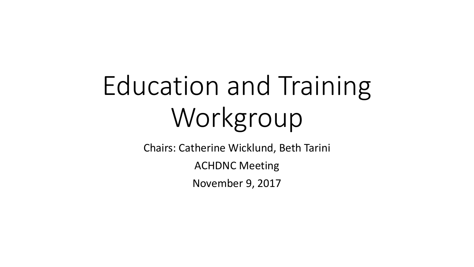# Education and Training Workgroup

Chairs: Catherine Wicklund, Beth Tarini

ACHDNC Meeting

November 9, 2017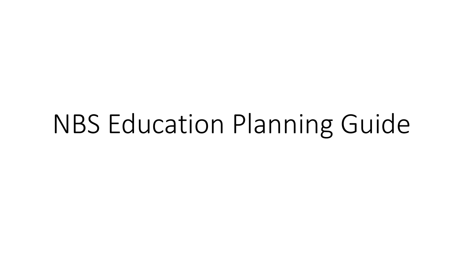# NBS Education Planning Guide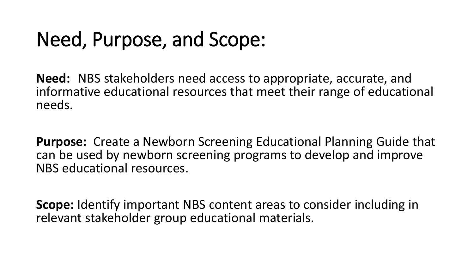# Need, Purpose, and Scope:

**Need:** NBS stakeholders need access to appropriate, accurate, and informative educational resources that meet their range of educational needs.

**Purpose:** Create a Newborn Screening Educational Planning Guide that can be used by newborn screening programs to develop and improve NBS educational resources.

**Scope:** Identify important NBS content areas to consider including in relevant stakeholder group educational materials.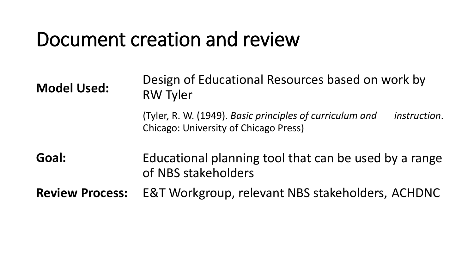#### Document creation and review

Design of Educational Resources based on work by RW Tyler (Tyler, R. W. (1949). *Basic principles of curriculum and instruction*. Chicago: University of Chicago Press) Educational planning tool that can be used by a range of NBS stakeholders E&T Workgroup, relevant NBS stakeholders, ACHDNC **Model Used: Goal: Review Process:**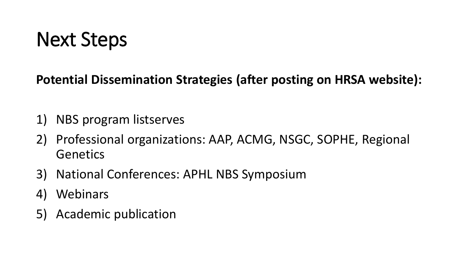**Potential Dissemination Strategies (after posting on HRSA website):**

- 1) NBS program listserves
- 2) Professional organizations: AAP, ACMG, NSGC, SOPHE, Regional **Genetics**
- 3) National Conferences: APHL NBS Symposium
- 4) Webinars
- 5) Academic publication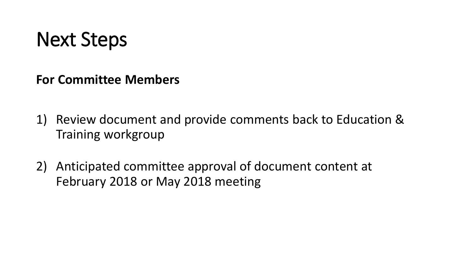**For Committee Members**

- 1) Review document and provide comments back to Education & Training workgroup
- 2) Anticipated committee approval of document content at February 2018 or May 2018 meeting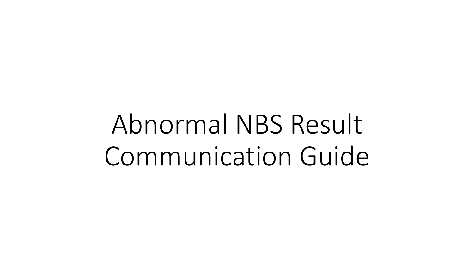Abnormal NBS Result Communication Guide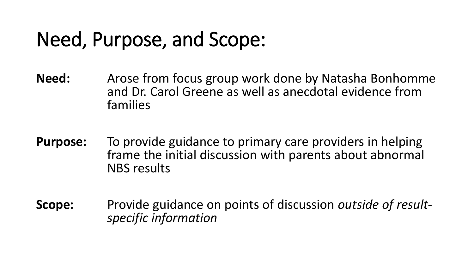# Need, Purpose, and Scope:

- **Need:** Arose from focus group work done by Natasha Bonhomme<br>and Dr. Carol Greene as well as anecdotal evidence from<br>families
- **Purpose:** To provide guidance to primary care providers in helping<br>frame the initial discussion with parents about abnormal<br>NBS results
- **Scope:** Provide guidance on points of discussion *outside of result- specific information*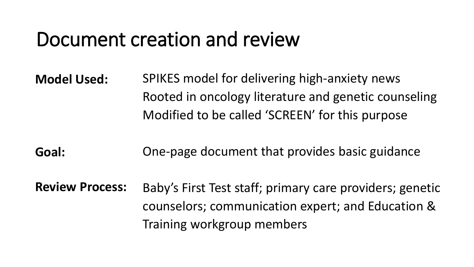#### Document creation and review

- Rooted in oncology literature and genetic counseling **Model Used:** SPIKES model for delivering high-anxiety news Modified to be called 'SCREEN' for this purpose
- **Goal:** One-page document that provides basic guidance
- Review Process: Baby's First Test staff; primary care providers; genetic counselors; communication expert; and Education & Training workgroup members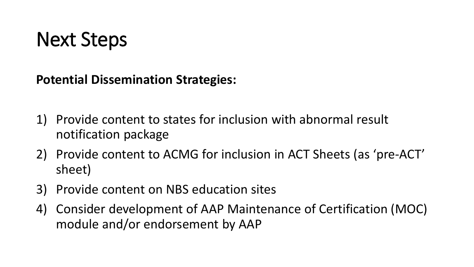**Potential Dissemination Strategies:**

- 1) Provide content to states for inclusion with abnormal result notification package
- 2) Provide content to ACMG for inclusion in ACT Sheets (as 'pre-ACT' sheet)
- 3) Provide content on NBS education sites
- 4) Consider development of AAP Maintenance of Certification (MOC) module and/or endorsement by AAP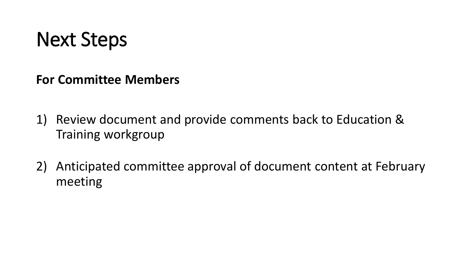**For Committee Members**

- 1) Review document and provide comments back to Education & Training workgroup
- 2) Anticipated committee approval of document content at February meeting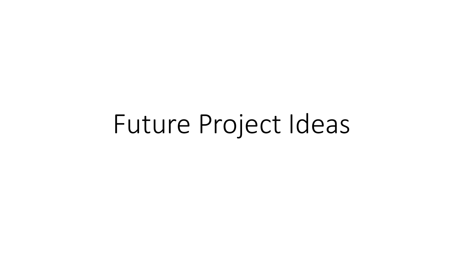Future Project Ideas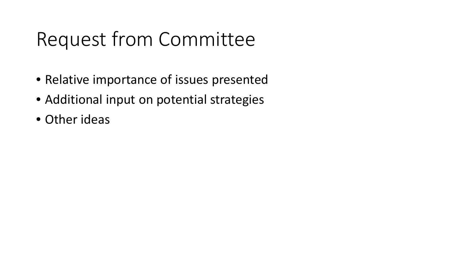# Request from Committee

- Relative importance of issues presented
- Additional input on potential strategies
- Other ideas